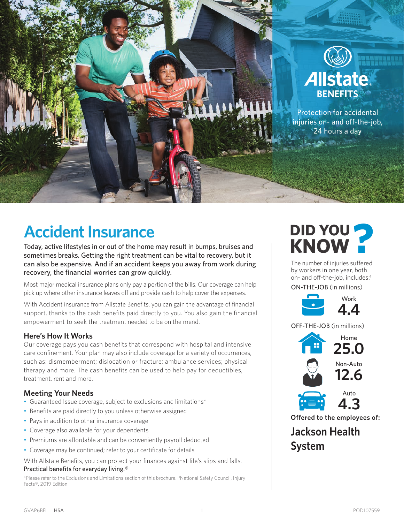

# **Accident Insurance**

Today, active lifestyles in or out of the home may result in bumps, bruises and sometimes breaks. Getting the right treatment can be vital to recovery, but it can also be expensive. And if an accident keeps you away from work during recovery, the financial worries can grow quickly.

Most major medical insurance plans only pay a portion of the bills. Our coverage can help pick up where other insurance leaves off and provide cash to help cover the expenses.

With Accident insurance from Allstate Benefits, you can gain the advantage of financial support, thanks to the cash benefits paid directly to you. You also gain the financial empowerment to seek the treatment needed to be on the mend.

# **Here's How It Works**

Our coverage pays you cash benefits that correspond with hospital and intensive care confinement. Your plan may also include coverage for a variety of occurrences, such as: dismemberment; dislocation or fracture; ambulance services; physical therapy and more. The cash benefits can be used to help pay for deductibles, treatment, rent and more.

# **Meeting Your Needs**

- Guaranteed Issue coverage, subject to exclusions and limitations\*
- Benefits are paid directly to you unless otherwise assigned
- Pays in addition to other insurance coverage
- Coverage also available for your dependents
- Premiums are affordable and can be conveniently payroll deducted
- Coverage may be continued; refer to your certificate for details

With Allstate Benefits, you can protect your finances against life's slips and falls. Practical benefits for everyday living.®

\*Please refer to the Exclusions and Limitations section of this brochure. 1 National Safety Council, Injury Facts®, 2019 Edition

# **DID YOU KNOW ?**

The number of injuries suffered by workers in one year, both on- and off-the-job, includes:<sup>1</sup>

ON-THE-JOB (in millions)



OFF-THE-JOB (in millions)



**Offered to the employees of:**

**Jackson Health System**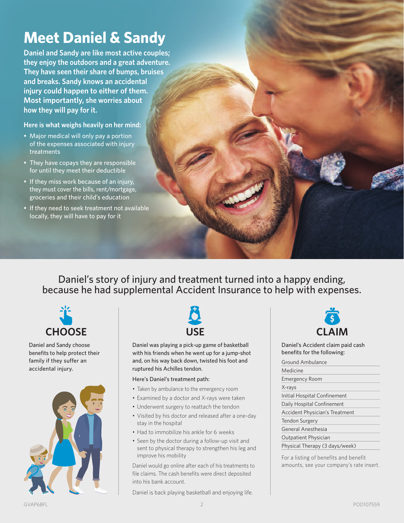# **Meet Daniel & Sandy**

**Daniel and Sandy are like most active couples; they enjoy the outdoors and a great adventure. They have seen their share of bumps, bruises and breaks. Sandy knows an accidental injury could happen to either of them. Most importantly, she worries about how they will pay for it.**

**Here is what weighs heavily on her mind:**

- Major medical will only pay a portion of the expenses associated with injury treatments
- They have copays they are responsible for until they meet their deductible
- If they miss work because of an injury, they must cover the bills, rent/mortgage, groceries and their child's education
- If they need to seek treatment not available locally, they will have to pay for it

Daniel's story of injury and treatment turned into a happy ending, because he had supplemental Accident Insurance to help with expenses.



Daniel and Sandy choose benefits to help protect their family if they suffer an accidental injury.





Daniel was playing a pick-up game of basketball with his friends when he went up for a jump-shot and, on his way back down, twisted his foot and ruptured his Achilles tendon .

#### Here's Daniel's treatment path:

- Taken by ambulance to the emergency room
- Examined by a doctor and X-rays were taken
- Underwent surgery to reattach the tendon
- Visited by his doctor and released after a one-day stay in the hospital
- Had to immobilize his ankle for 6 weeks
- Seen by the doctor during a follow-up visit and sent to physical therapy to strengthen his leg and improve his mobility

Daniel would go online after each of his treatments to file claims. The cash benefits were direct deposited into his bank account.

Daniel is back playing basketball and enjoying life.



Daniel's Accident claim paid cash benefits for the following:

Ground Ambulance Medicine Emergency Room X-rays Initial Hospital Confinement Daily Hospital Confinement Accident Physician's Treatment Tendon Surgery General Anesthesia Outpatient Physician Physical Therapy (3 days/week)

For a listing of benefits and benefit amounts, see your company's rate insert.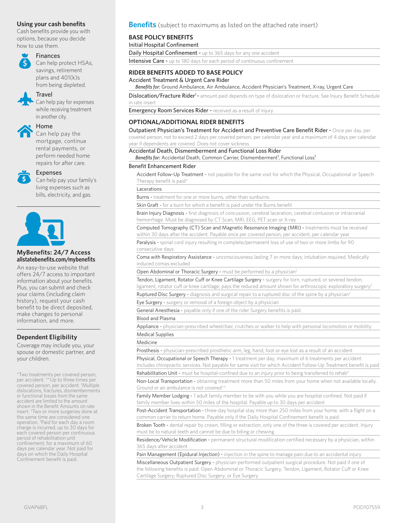Cash benefits provide you with options, because you decide how to use them.



### Finances

Can help protect HSAs, savings, retirement plans and 401(k)s from being depleted.

# Travel

Can help pay for expenses while receiving treatment in another city.

Home

Can help pay the mortgage, continue rental payments, or perform needed home repairs for after care.



# Expenses

Can help pay your family's living expenses such as bills, electricity, and gas.



#### **MyBenefits: 24/7 Access allstatebenefits.com/mybenefits**

An easy-to-use website that offers 24/7 access to important information about your benefits. Plus, you can submit and check your claims (including claim history), request your cash benefit to be direct deposited, make changes to personal information, and more.

## **Dependent Eligibility**

Coverage may include you, your spouse or domestic partner, and your children.

\*Two treatments per covered person, per accident. \*\*Up to three times per covered person, per accident. 1 Multiple dislocations, fractures, dismemberments or functional losses from the same accident are limited to the amount shown in the Benefit Amounts on rate insert. <sup>2</sup> Two or more surgeries done at the same time are considered one operation. 3 Paid for each day a room charge is incurred, up to 30 days for each covered person per continuous period of rehabilitation unit confinement, for a maximum of 60 days per calendar year. Not paid for days on which the Daily Hospital Confinement benefit is paid.

#### **Using your cash benefits Benefits** (subject to maximums as listed on the attached rate insert)

#### **BASE POLICY BENEFITS**

Initial Hospital Confinement

Daily Hospital Confinement - up to 365 days for any one accident Intensive Care - up to 180 days for each period of continuous confinement

# **RIDER BENEFITS ADDED TO BASE POLICY**

Accident Treatment & Urgent Care Rider

^ *Benefits for:* Ground Ambulance, Air Ambulance, Accident Physician's Treatment, X-ray, Urgent Care

Dislocation/Fracture Rider<sup>1</sup> - amount paid depends on type of dislocation or fracture. See Injury Benefit Schedule in rate insert

Emergency Room Services Rider - received as a result of injury

#### **OPTIONAL/ADDITIONAL RIDER BENEFITS**

Outpatient Physician's Treatment for Accident and Preventive Care Benefit Rider - Once per day, per covered person, not to exceed 2 days per covered person, per calendar year and a maximum of 4 days per calendar

year if dependents are covered. Does not cover sickness

Accidental Death, Dismemberment and Functional Loss Rider

Benefits for: Accidental Death, Common Carrier, Dismemberment<sup>1</sup>, Functional Loss<sup>1</sup>

#### Benefit Enhancement Rider

Accident Follow-Up Treatment - not payable for the same visit for which the Physical, Occupational or Speech Therapy benefit is paid\*

Lacerations

Burns - treatment for one or more burns, other than sunburns

Skin Graft - for a burn for which a benefit is paid under the Burns benefit

Brain Injury Diagnosis - first diagnosis of concussion, cerebral laceration, cerebral contusion or intracranial hemorrhage. Must be diagnosed by CT Scan, MRI, EEG, PET scan or X-ray

Computed Tomography (CT) Scan and Magnetic Resonance Imaging (MRI) - treatments must be received within 30 days after the accident. Payable once per covered person, per accident, per calendar year

Paralysis - spinal cord injury resulting in complete/permanent loss of use of two or more limbs for 90 consecutive days

Coma with Respiratory Assistance - unconsciousness lasting 7 or more days; intubation required. Medically induced comas excluded

Open Abdominal or Thoracic Surgery - must be performed by a physician<sup>2</sup>

Tendon, Ligament, Rotator Cuff or Knee Cartilage Surgery - surgery for torn, ruptured, or severed tendon, ligament, rotator cuff or knee cartilage; pays the reduced amount shown for arthroscopic exploratory surgery<sup>2</sup>

Ruptured Disc Surgery - diagnosis and surgical repair to a ruptured disc of the spine by a physician<sup>2</sup>

Eye Surgery - surgery or removal of a foreign object by a physician

General Anesthesia - payable only if one of the rider Surgery benefits is paid

#### Blood and Plasma

Appliance - physician-prescribed wheelchair, crutches or walker to help with personal locomotion or mobility Medical Supplies

#### Medicine

Prosthesis - physician-prescribed prosthetic arm, leg, hand, foot or eye lost as a result of an accident

Physical, Occupational or Speech Therapy - 1 treatment per day; maximum of 6 treatments per accident. Includes chiropractic services. Not payable for same visit for which Accident Follow-Up Treatment benefit is paid

Rehabilitation Unit - must be hospital-confined due to an injury prior to being transferred to rehab<sup>3</sup>

Non-Local Transportation - obtaining treatment more than 50 miles from your home when not available locally. Ground or air ambulance is not covered\*\*

Family Member Lodging - 1 adult family member to be with you while you are hospital confined. Not paid if family member lives within 50 miles of the hospital. Payable up to 30 days per accident

Post-Accident Transportation - three-day hospital stay more than 250 miles from your home, with a flight on a common carrier to return home. Payable only if the Daily Hospital Confinement benefit is paid

Broken Tooth - dental repair by crown, filling or extraction; only one of the three is covered per accident. Injury must be to natural teeth and cannot be due to biting or chewing

Residence/Vehicle Modification - permanent structural modification certified necessary by a physician, within 365 days after accident

Pain Management (Epidural Injection) - injection in the spine to manage pain due to an accidental injury

Miscellaneous Outpatient Surgery - physician-performed outpatient surgical procedure. Not paid if one of the following benefits is paid: Open Abdominal or Thoracic Surgery; Tendon, Ligament, Rotator Cuff or Knee Cartilage Surgery; Ruptured Disc Surgery; or Eye Surgery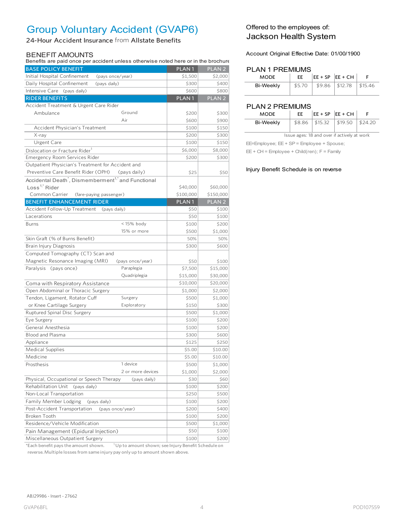# Group Voluntary Accident (GVAP6)

24-Hour Accident Insurance from Allstate Benefits

#### BENEFIT AMOUNTS

Benefits are paid once per accident unless otherwise noted here or in the brochure

| Deficits are paid once per accident unless otherwise noted here of in the prochuit |                   |                   |
|------------------------------------------------------------------------------------|-------------------|-------------------|
| <b>BASE POLICY BENEFIT</b>                                                         | PLAN <sub>1</sub> | PLAN <sub>2</sub> |
| Initial Hospital Confinement<br>(pays once/year)                                   | \$1,500           | \$2,000           |
| Daily Hospital Confinement<br>(pays daily)                                         | \$300             | \$400             |
| Intensive Care (pays daily)                                                        | \$600             | \$800             |
| <b>RIDER BENEFITS</b>                                                              | PLAN <sub>1</sub> | PLAN <sub>2</sub> |
| Accident Treatment & Urgent Care Rider                                             |                   |                   |
| Ambulance<br>Ground                                                                | \$200             | \$300             |
| Air                                                                                | \$600             | \$900             |
| Accident Physician's Treatment                                                     | \$100             | \$150             |
| X-ray                                                                              | \$200             | \$300             |
| Urgent Care                                                                        | \$100             | \$150             |
| Dislocation or Fracture Rider <sup>1</sup>                                         | \$6,000           | \$8,000           |
| Emergency Room Services Rider                                                      | \$200             | \$300             |
| Outpatient Physician's Treatment for Accident and                                  |                   |                   |
| Preventive Care Benefit Rider (OPH)<br>(pays daily)                                | \$25              | \$50              |
| Accidental Death <sup>*</sup> , Dismemberment <sup>1,*</sup> and Functional        |                   |                   |
| Loss <sup>1,<math>*</math></sup> Rider                                             | \$40,000          | \$60,000          |
| Common Carrier<br>(fare-paying passenger)                                          | \$100,000         | \$150,000         |
| <b>BENEFIT ENHANCEMENT RIDER</b>                                                   | PLAN <sub>1</sub> | PLAN <sub>2</sub> |
| Accident Follow-Up Treatment<br>(pays daily)                                       | \$50              | \$100             |
| Lacerations                                                                        | \$50              | \$100             |
| <15% body<br><b>Burns</b>                                                          | \$100             | \$200             |
| 15% or more                                                                        | \$500             | \$1,000           |
| Skin Graft (% of Burns Benefit)                                                    | 50%               | 50%               |
| Brain Injury Diagnosis                                                             | \$300             | \$600             |
| Computed Tomography (CT) Scan and                                                  |                   |                   |
| Magnetic Resonance Imaging (MRI)<br>(pays once/year)                               | \$50              | \$100             |
| Paralysis (pays once)<br>Paraplegia                                                | \$7,500           | \$15,000          |
| Quadriplegia                                                                       | \$15,000          | \$30,000          |
| Coma with Respiratory Assistance                                                   | \$10,000          | \$20,000          |
| Open Abdominal or Thoracic Surgery                                                 | \$1,000           | \$2,000           |
| Tendon, Ligament, Rotator Cuff<br>Surgery                                          | \$500             | \$1,000           |
| or Knee Cartilage Surgery<br>Exploratory                                           | \$150             | \$300             |
| Ruptured Spinal Disc Surgery                                                       | \$500             | \$1,000           |
| Eye Surgery                                                                        | \$100             | \$200             |
| General Anesthesia                                                                 | \$100             | \$200             |
| <b>Blood and Plasma</b>                                                            | \$300             | \$600             |
| Appliance                                                                          | \$125             |                   |
| Medical Supplies                                                                   | \$5.00            | \$250<br>\$10.00  |
| Medicine                                                                           |                   |                   |
| 1 device                                                                           | \$5.00            | \$10.00           |
| Prosthesis                                                                         | \$500             | \$1,000           |
| 2 or more devices                                                                  | \$1,000           | \$2,000           |
| Physical, Occupational or Speech Therapy<br>(pays daily)                           | \$30              | \$60              |
| Rehabilitation Unit<br>(pays daily)                                                | \$100             | \$200             |
| Non-Local Transportation                                                           | \$250             | \$500             |
| Family Member Lodging<br>(pays daily)                                              | \$100             | \$200             |
| Post-Accident Transportation<br>(pays once/year)                                   | \$200             | \$400             |
| Broken Tooth                                                                       | \$100             | \$200             |
| Residence/Vehicle Modification                                                     | \$500             | \$1,000           |
| Pain Management (Epidural Injection)                                               | \$50              | \$100             |
| Miscellaneous Outpatient Surgery                                                   | \$100             | \$200             |

\*Each benefit pays the amount shown.  $1$  Up to amount shown; see Injury Benefit Schedule on reverse. Multiple losses from same injury pay only up to amount shown above.

# Offered to the employees of: Jackson Health System

Account Original Effective Date: 01/00/1900

#### PLAN 1 PREMIUMS

| <b>MODE</b> | FF.    | $ EE + SP EE + CH$ |                             |  |
|-------------|--------|--------------------|-----------------------------|--|
| Bi-Weekly   | \$5.70 |                    | $$9.86$   \$12.78   \$15.46 |  |

### PLAN 2 PREMIUMS

| <b>MODE</b> | EE |                   | $ EE + SP EE + CH$      |  |
|-------------|----|-------------------|-------------------------|--|
| Bi-Weekly   |    | $$8.86$   \$15.32 | $1\,$ \$19.50   \$24.20 |  |

Issue ages: 18 and over if actively at work

EE=Employee; EE + SP = Employee + Spouse;

EE + CH = Employee + Child(ren); F = Family

#### Injury Benefit Schedule is on reverse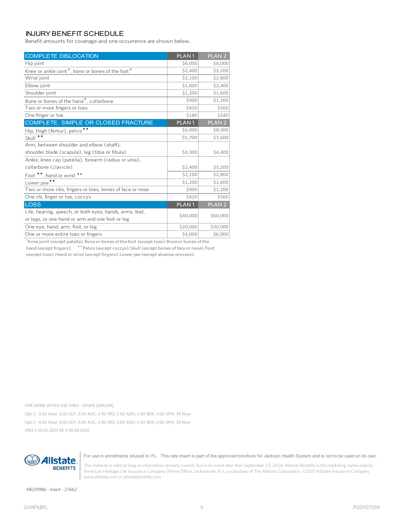## INJURY BENEFIT SCHEDULE

Benefit amounts for coverage and one occurrence are shown below.

| <b>COMPLETE DISLOCATION</b>                                               | PLAN <sub>1</sub> | PLAN <sub>2</sub> |
|---------------------------------------------------------------------------|-------------------|-------------------|
| Hip joint                                                                 | \$6,000           | \$8,000           |
| Knee or ankle joint <sup>1</sup> , bone or bones of the foot <sup>1</sup> | \$2,400           | \$3,200           |
| Wrist joint                                                               | \$2,100           | \$2,800           |
| Elbow joint                                                               | \$1,800           | \$2,400           |
| Shoulder joint                                                            | \$1,200           | \$1,600           |
| Bone or bones of the hand <sup>*</sup> , collarbone                       | \$900             | \$1,200           |
| Two or more fingers or toes                                               | \$420             | \$560             |
| One finger or toe                                                         | \$180             | \$240             |
| COMPLETE, SIMPLE OR CLOSED FRACTURE                                       | PLAN <sub>1</sub> | PLAN <sub>2</sub> |
| Hip, thigh (femur), pelvis <sup>++</sup>                                  | \$6,000           | \$8,000           |
| $^{\tiny{++}}$<br>Skull                                                   | \$5,700           | \$7,600           |
| Arm, between shoulder and elbow (shaft),                                  |                   |                   |
| shoulder blade (scapula), leg (tibia or fibula)                           | \$3,300           | \$4,400           |
| Ankle, knee cap (patella), forearm (radius or ulna),                      |                   |                   |
| collarbone (clavicle)                                                     | \$2,400           | \$3,200           |
| Foot **, hand or wrist **                                                 | \$2,100           | \$2,800           |
| Lower jaw <sup>++</sup>                                                   | \$1,200           | \$1,600           |
| Two or more ribs, fingers or toes, bones of face or nose                  | \$900             | \$1,200           |
| One rib, finger or toe, coccyx                                            | \$420             | \$560             |
| <b>LOSS</b>                                                               | PLAN <sub>1</sub> | PLAN <sub>2</sub> |
| Life, hearing, speech, or both eyes, hands, arms, feet,                   | \$40,000          | \$60,000          |
| or legs, or one hand or arm and one foot or leg                           |                   |                   |
| One eye, hand, arm, foot, or leg                                          | \$20,000          | \$30,000          |
| One or more entire toes or fingers                                        | \$4,000           | \$6,000           |

Knee joint (except patella). Bone or bones of the foot (except toes). Bone or bones of the hand (except fingers). \*\* Pelvis (except coccyx). Skull (except bones of face or nose). Foot (except toes). Hand or wrist (except fingers). Lower jaw (except alveolar process).

FOR HOME OFFICE USE ONLY - GVAP6 (GRK10K)

Opt 1 - 3.0U Base; 3.0U D/F; 2.0U AUC; 2.0U ERS; 2.0U ADD; 1.0U BER; 1.0U OPH; 24 Hour Opt 2 - 4.0U Base; 4.0U D/F; 3.0U AUC; 3.0U ERS; 3.0U ADD; 2.0U BER; 2.0U OPH; 24 Hour ABQ V 09.01.2021 RE V 06.03.2020



For use in enrollments sitused in: FL. This rate insert is part of the approved brochure for Jackson Health System and is not to be used on its own.

This material is valid as long as information remains current, but in no event later than September 23, 2024. Allstate Benefits is the marketing name used by American Heritage Life Insurance Company (Home Office, Jacksonville, FL), a subsidiary of The Allstate Corporation. ©2021 Allstate Insurance Company. www.allstate.com or allstatebenefits.com.

ABJ29986 - Insert - 27662